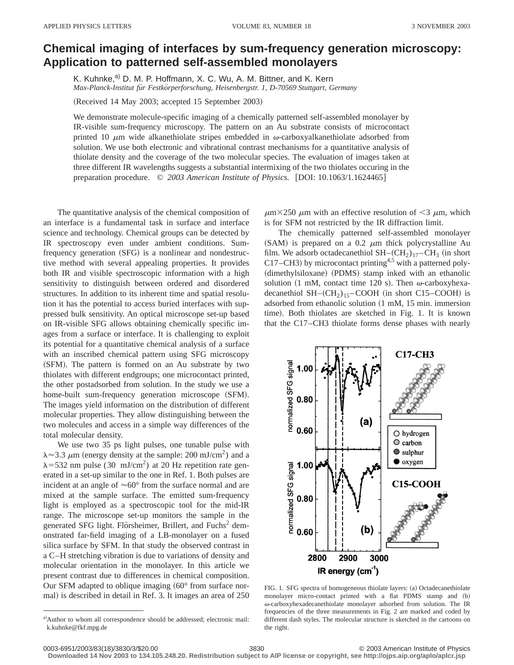## **Chemical imaging of interfaces by sum-frequency generation microscopy: Application to patterned self-assembled monolayers**

K. Kuhnke,<sup>a)</sup> D. M. P. Hoffmann, X. C. Wu, A. M. Bittner, and K. Kern *Max-Planck-Institut fu¨r Festko¨rperforschung, Heisenbergstr. 1, D-70569 Stuttgart, Germany*

(Received 14 May 2003; accepted 15 September 2003)

We demonstrate molecule-specific imaging of a chemically patterned self-assembled monolayer by IR-visible sum-frequency microscopy. The pattern on an Au substrate consists of microcontact printed 10  $\mu$ m wide alkanethiolate stripes embedded in  $\omega$ -carboxyalkanethiolate adsorbed from solution. We use both electronic and vibrational contrast mechanisms for a quantitative analysis of thiolate density and the coverage of the two molecular species. The evaluation of images taken at three different IR wavelengths suggests a substantial intermixing of the two thiolates occuring in the preparation procedure.  $\oslash$  2003 American Institute of Physics. [DOI: 10.1063/1.1624465]

The quantitative analysis of the chemical composition of an interface is a fundamental task in surface and interface science and technology. Chemical groups can be detected by IR spectroscopy even under ambient conditions. Sumfrequency generation (SFG) is a nonlinear and nondestructive method with several appealing properties. It provides both IR and visible spectroscopic information with a high sensitivity to distinguish between ordered and disordered structures. In addition to its inherent time and spatial resolution it has the potential to access buried interfaces with suppressed bulk sensitivity. An optical microscope set-up based on IR-visible SFG allows obtaining chemically specific images from a surface or interface. It is challenging to exploit its potential for a quantitative chemical analysis of a surface with an inscribed chemical pattern using SFG microscopy (SFM). The pattern is formed on an Au substrate by two thiolates with different endgroups; one microcontact printed, the other postadsorbed from solution. In the study we use a home-built sum-frequency generation microscope (SFM). The images yield information on the distribution of different molecular properties. They allow distinguishing between the two molecules and access in a simple way differences of the total molecular density.

We use two 35 ps light pulses, one tunable pulse with  $\lambda \approx 3.3 \mu$ m (energy density at the sample: 200 mJ/cm<sup>2</sup>) and a  $\lambda$ =532 nm pulse (30 mJ/cm<sup>2</sup>) at 20 Hz repetition rate generated in a set-up similar to the one in Ref. 1. Both pulses are incident at an angle of  $\approx 60^\circ$  from the surface normal and are mixed at the sample surface. The emitted sum-frequency light is employed as a spectroscopic tool for the mid-IR range. The microscope set-up monitors the sample in the generated SFG light. Flörsheimer, Brillert, and Fuchs<sup>2</sup> demonstrated far-field imaging of a LB-monolayer on a fused silica surface by SFM. In that study the observed contrast in a C–H stretching vibration is due to variations of density and molecular orientation in the monolayer. In this article we present contrast due to differences in chemical composition. Our SFM adapted to oblique imaging  $(60°$  from surface normal) is described in detail in Ref. 3. It images an area of 250

 $\mu$ m×250  $\mu$ m with an effective resolution of <3  $\mu$ m, which is for SFM not restricted by the IR diffraction limit.

The chemically patterned self-assembled monolayer (SAM) is prepared on a 0.2  $\mu$ m thick polycrystalline Au film. We adsorb octadecanethiol  $SH-(CH_2)_{17}-CH_3$  (in short C17–CH3) by microcontact printing<sup>4,5</sup> with a patterned poly-(dimethylsiloxane) (PDMS) stamp inked with an ethanolic solution (1 mM, contact time 120 s). Then  $\omega$ -carboxyhexadecanethiol  $SH-(CH_2)_{15}$ –COOH (in short C15–COOH) is adsorbed from ethanolic solution  $(1 \text{ mM}, 15 \text{ min.}$  immersion time). Both thiolates are sketched in Fig. 1. It is known that the C17–CH3 thiolate forms dense phases with nearly



FIG. 1. SFG spectra of homogeneous thiolate layers: (a) Octadecanethiolate monolayer micro-contact printed with a flat PDMS stamp and (b) <sup>v</sup>-carboxyhexadecanethiolate monolayer adsorbed from solution. The IR frequencies of the three measurements in Fig. 2 are marked and coded by different dash styles. The molecular structure is sketched in the cartoons on the right.

0003-6951/2003/83(18)/3830/3/\$20.00 © 2003 American Institute of Physics 3830

**Downloaded 14 Nov 2003 to 134.105.248.20. Redistribution subject to AIP license or copyright, see http://ojps.aip.org/aplo/aplcr.jsp**

a)Author to whom all correspondence should be addressed; electronic mail: k.kuhnke@fkf.mpg.de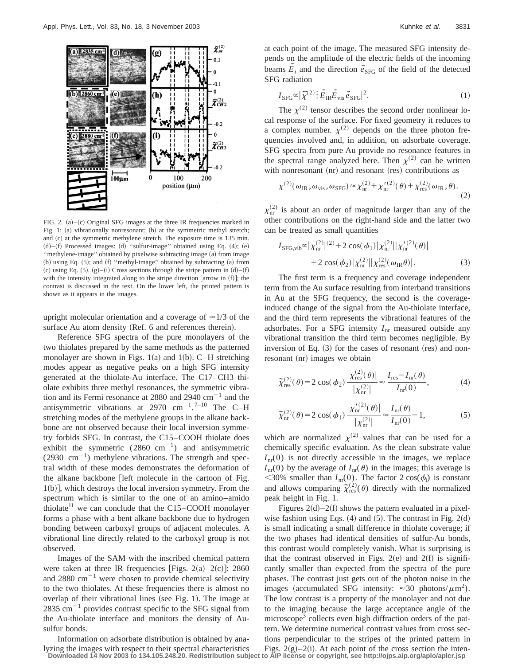

FIG. 2.  $(a)$ – $(c)$  Original SFG images at the three IR frequencies marked in Fig. 1: (a) vibrationally nonresonant; (b) at the symmetric methyl stretch; and (c) at the symmetric methylene stretch. The exposure time is 135 min.  $(d)$ – $(f)$  Processed images:  $(d)$  "sulfur-image" obtained using Eq.  $(4)$ ;  $(e)$ "methylene-image" obtained by pixelwise subtracting image (a) from image (b) using Eq.  $(5)$ ; and  $(f)$  "methyl-image" obtained by subtracting  $(a)$  from (c) using Eq.  $(5)$ .  $(g)$ – $(i)$  Cross sections through the stripe pattern in  $(d)$ – $(f)$ with the intensity integrated along to the stripe direction [arrow in  $(f)$ ]; the contrast is discussed in the text. On the lower left, the printed pattern is shown as it appears in the images.

upright molecular orientation and a coverage of  $\approx$  1/3 of the surface Au atom density (Ref. 6 and references therein).

Reference SFG spectra of the pure monolayers of the two thiolates prepared by the same methods as the patterned monolayer are shown in Figs. 1(a) and 1(b). C–H stretching modes appear as negative peaks on a high SFG intensity generated at the thiolate-Au interface. The C17–CH3 thiolate exhibits three methyl resonances, the symmetric vibration and its Fermi resonance at  $2880$  and  $2940$  cm<sup>-1</sup> and the antisymmetric vibrations at 2970  $\text{cm}^{-1}$ .<sup>7-10</sup> The C-H stretching modes of the methylene groups in the alkane backbone are not observed because their local inversion symmetry forbids SFG. In contrast, the C15–COOH thiolate does exhibit the symmetric  $(2860 \text{ cm}^{-1})$  and antisymmetric (2930  $\text{cm}^{-1}$ ) methylene vibrations. The strength and spectral width of these modes demonstrates the deformation of the alkane backbone  $\lceil$  left molecule in the cartoon of Fig.  $1(b)$ , which destroys the local inversion symmetry. From the spectrum which is similar to the one of an amino–amido thiolate<sup>11</sup> we can conclude that the C15–COOH monolayer forms a phase with a bent alkane backbone due to hydrogen bonding between carboxyl groups of adjacent molecules. A vibrational line directly related to the carboxyl group is not observed.

Images of the SAM with the inscribed chemical pattern were taken at three IR frequencies [Figs.  $2(a)-2(c)$ ]: 2860 and  $2880 \text{ cm}^{-1}$  were chosen to provide chemical selectivity to the two thiolates. At these frequencies there is almost no overlap of their vibrational lines (see Fig. 1). The image at  $2835$  cm<sup>-1</sup> provides contrast specific to the SFG signal from the Au-thiolate interface and monitors the density of Ausulfur bonds.

Information on adsorbate distribution is obtained by analyzing the images with respect to their spectral characteristics at each point of the image. The measured SFG intensity depends on the amplitude of the electric fields of the incoming beams  $\vec{E}_i$  and the direction  $\vec{e}_{SFG}$  of the field of the detected SFG radiation

$$
I_{\rm SFG} \propto |\tilde{\chi}^{(2)} \, \vdots \, \vec{E}_{\rm IR} \vec{E}_{\rm vis} \vec{e}_{\rm SFG}|^2. \tag{1}
$$

The  $\chi^{(2)}$  tensor describes the second order nonlinear local response of the surface. For fixed geometry it reduces to a complex number.  $\chi^{(2)}$  depends on the three photon frequencies involved and, in addition, on adsorbate coverage. SFG spectra from pure Au provide no resonance features in the spectral range analyzed here. Then  $\chi^{(2)}$  can be written with nonresonant  $(nr)$  and resonant  $(res)$  contributions as

$$
\chi^{(2)}(\omega_{\text{IR}}, \omega_{\text{vis}}, \omega_{\text{SFG}}) \approx \chi^{(2)}_{\text{nr}} + \chi'^{(2)}_{\text{nr}}(\theta) + \chi'^{(2)}_{\text{res}}(\omega_{\text{IR}}, \theta). \tag{2}
$$

 $\chi_{\rm nr}^{(2)}$  is about an order of magnitude larger than any of the other contributions on the right-hand side and the latter two can be treated as small quantities

$$
I_{\text{SFG,vib}} \propto |\chi_{\text{nr}}^{(2)}|^{(2)} + 2 \cos(\phi_1) |\chi_{\text{nr}}^{(2)}| |\chi_{\text{nr}}'^{(2)}(\theta)|
$$
  
+2 \cos(\phi\_2) |\chi\_{\text{nr}}^{(2)}| |\chi\_{\text{res}}^{(2)}(\omega\_{\text{IR}} \theta)|. (3)

The first term is a frequency and coverage independent term from the Au surface resulting from interband transitions in Au at the SFG frequency, the second is the coverageinduced change of the signal from the Au-thiolate interface, and the third term represents the vibrational features of the adsorbates. For a SFG intensity  $I_{nr}$  measured outside any vibrational transition the third term becomes negligible. By inversion of Eq.  $(3)$  for the cases of resonant (res) and nonresonant (nr) images we obtain

$$
\widetilde{\chi}_{\text{res}}^{(2)}(\theta) = 2\cos(\phi_2) \frac{|\chi_{\text{res}}^{(2)}(\theta)|}{|\chi_{\text{nr}}^{(2)}|} \approx \frac{I_{\text{res}} - I_{\text{nr}}(\theta)}{I_{\text{nr}}(0)},\tag{4}
$$

$$
\tilde{\chi}_{nr}^{(2)}(\theta) = 2 \cos(\phi_1) \frac{|\chi_{nr}^{\prime(2)}(\theta)|}{|\chi_{nr}^{(2)}|} \approx \frac{I_{nr}(\theta)}{I_{nr}(0)} - 1,\tag{5}
$$

which are normalized  $\chi^{(2)}$  values that can be used for a chemically specific evaluation. As the clean substrate value  $I_{\rm nr}(0)$  is not directly accessible in the images, we replace  $I_{\text{nr}}(0)$  by the average of  $I_{\text{nr}}(\theta)$  in the images; this average is  $<$ 30% smaller than *I*<sub>nr</sub>(0). The factor 2 cos( $\phi_i$ ) is constant and allows comparing  $\tilde{\chi}^{(2)}_{\text{res}}(\theta)$  directly with the normalized peak height in Fig. 1.

Figures  $2(d) - 2(f)$  shows the pattern evaluated in a pixelwise fashion using Eqs.  $(4)$  and  $(5)$ . The contrast in Fig. 2 $(d)$ is small indicating a small difference in thiolate coverage; if the two phases had identical densities of sulfur-Au bonds, this contrast would completely vanish. What is surprising is that the contrast observed in Figs.  $2(e)$  and  $2(f)$  is significantly smaller than expected from the spectra of the pure phases. The contrast just gets out of the photon noise in the images (accumulated SFG intensity:  $\approx 30$  photons/ $\mu$ m<sup>2</sup>). The low contrast is a property of the monolayer and not due to the imaging because the large acceptance angle of the microscope<sup>3</sup> collects even high diffraction orders of the pattern. We determine numerical contrast values from cross sections perpendicular to the stripes of the printed pattern in Figs.  $2(g) - 2(i)$ . At each point of the cross section the inten-**Downloaded 14 Nov 2003 to 134.105.248.20. Redistribution subject to AIP license or copyright, see http://ojps.aip.org/aplo/aplcr.jsp**